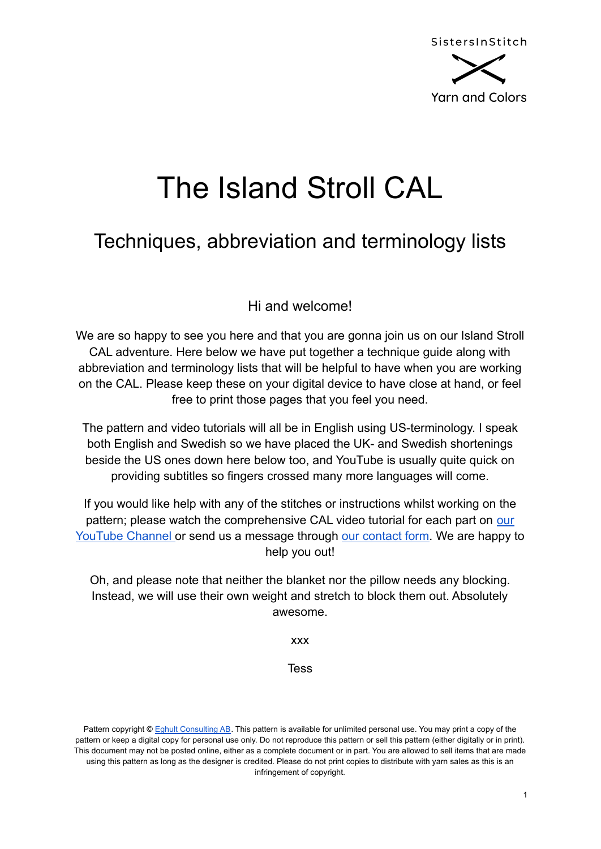

# The Island Stroll CAL

## Techniques, abbreviation and terminology lists

Hi and welcome!

We are so happy to see you here and that you are gonna join us on our Island Stroll CAL adventure. Here below we have put together a technique guide along with abbreviation and terminology lists that will be helpful to have when you are working on the CAL. Please keep these on your digital device to have close at hand, or feel free to print those pages that you feel you need.

The pattern and video tutorials will all be in English using US-terminology. I speak both English and Swedish so we have placed the UK- and Swedish shortenings beside the US ones down here below too, and YouTube is usually quite quick on providing subtitles so fingers crossed many more languages will come.

If you would like help with any of the stitches or instructions whilst working on the pattern; please watch the comprehensive CAL video tutorial for each part on [our](http://www.youtube.com/SistersInStitch) [YouTube Channel](http://www.youtube.com/SistersInStitch) or send us a message through [our contact](http://www.sistersinstitch.com/contact) form. We are happy to help you out!

Oh, and please note that neither the blanket nor the pillow needs any blocking. Instead, we will use their own weight and stretch to block them out. Absolutely awesome.

xxx

Tess

Pattern copyright © Eghult [Consulting](http://www.sistersinstitch.com) AB. This pattern is available for unlimited personal use. You may print a copy of the pattern or keep a digital copy for personal use only. Do not reproduce this pattern or sell this pattern (either digitally or in print). This document may not be posted online, either as a complete document or in part. You are allowed to sell items that are made using this pattern as long as the designer is credited. Please do not print copies to distribute with yarn sales as this is an infringement of copyright.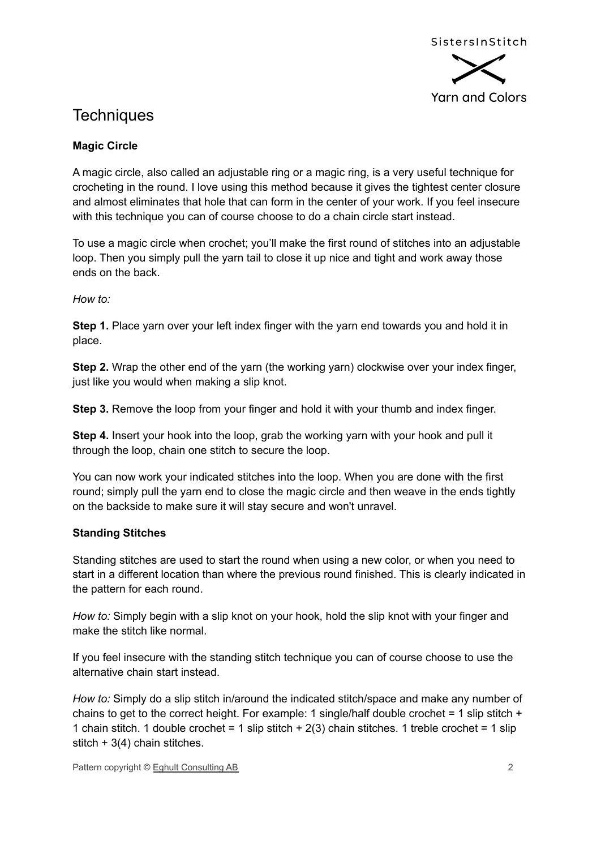

## **Techniques**

#### **Magic Circle**

A magic circle, also called an adjustable ring or a magic ring, is a very useful technique for crocheting in the round. I love using this method because it gives the tightest center closure and almost eliminates that hole that can form in the center of your work. If you feel insecure with this technique you can of course choose to do a chain circle start instead.

To use a magic circle when crochet; you'll make the first round of stitches into an adjustable loop. Then you simply pull the yarn tail to close it up nice and tight and work away those ends on the back.

*How to:*

**Step 1.** Place yarn over your left index finger with the yarn end towards you and hold it in place.

**Step 2.** Wrap the other end of the yarn (the working yarn) clockwise over your index finger, just like you would when making a slip knot.

**Step 3.** Remove the loop from your finger and hold it with your thumb and index finger.

**Step 4.** Insert your hook into the loop, grab the working yarn with your hook and pull it through the loop, chain one stitch to secure the loop.

You can now work your indicated stitches into the loop. When you are done with the first round; simply pull the yarn end to close the magic circle and then weave in the ends tightly on the backside to make sure it will stay secure and won't unravel.

#### **Standing Stitches**

Standing stitches are used to start the round when using a new color, or when you need to start in a different location than where the previous round finished. This is clearly indicated in the pattern for each round.

*How to:* Simply begin with a slip knot on your hook, hold the slip knot with your finger and make the stitch like normal.

If you feel insecure with the standing stitch technique you can of course choose to use the alternative chain start instead.

*How to:* Simply do a slip stitch in/around the indicated stitch/space and make any number of chains to get to the correct height. For example: 1 single/half double crochet = 1 slip stitch  $+$ 1 chain stitch. 1 double crochet = 1 slip stitch  $+ 2(3)$  chain stitches. 1 treble crochet = 1 slip stitch  $+3(4)$  chain stitches.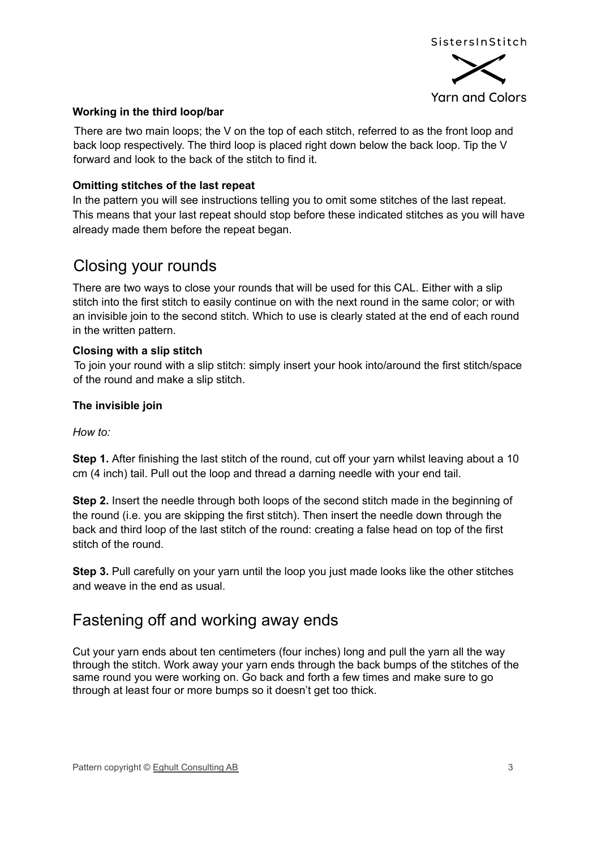

#### **Working in the third loop/bar**

There are two main loops; the V on the top of each stitch, referred to as the front loop and back loop respectively. The third loop is placed right down below the back loop. Tip the V forward and look to the back of the stitch to find it.

#### **Omitting stitches of the last repeat**

In the pattern you will see instructions telling you to omit some stitches of the last repeat. This means that your last repeat should stop before these indicated stitches as you will have already made them before the repeat began.

## Closing your rounds

There are two ways to close your rounds that will be used for this CAL. Either with a slip stitch into the first stitch to easily continue on with the next round in the same color; or with an invisible join to the second stitch. Which to use is clearly stated at the end of each round in the written pattern.

#### **Closing with a slip stitch**

To join your round with a slip stitch: simply insert your hook into/around the first stitch/space of the round and make a slip stitch.

#### **The invisible join**

#### *How to:*

**Step 1.** After finishing the last stitch of the round, cut off your yarn whilst leaving about a 10 cm (4 inch) tail. Pull out the loop and thread a darning needle with your end tail.

**Step 2.** Insert the needle through both loops of the second stitch made in the beginning of the round (i.e. you are skipping the first stitch). Then insert the needle down through the back and third loop of the last stitch of the round: creating a false head on top of the first stitch of the round.

**Step 3.** Pull carefully on your yarn until the loop you just made looks like the other stitches and weave in the end as usual.

## Fastening off and working away ends

Cut your yarn ends about ten centimeters (four inches) long and pull the yarn all the way through the stitch. Work away your yarn ends through the back bumps of the stitches of the same round you were working on. Go back and forth a few times and make sure to go through at least four or more bumps so it doesn't get too thick.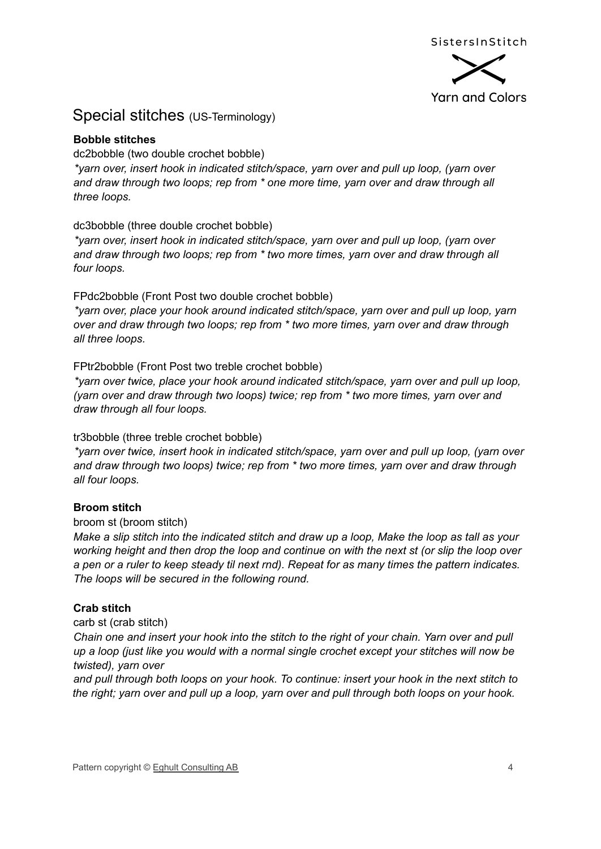

### Special stitches (US-Terminology)

#### **Bobble stitches**

dc2bobble (two double crochet bobble)

*\*yarn over, insert hook in indicated stitch/space, yarn over and pull up loop, (yarn over and draw through two loops; rep from \* one more time, yarn over and draw through all three loops.*

dc3bobble (three double crochet bobble)

*\*yarn over, insert hook in indicated stitch/space, yarn over and pull up loop, (yarn over and draw through two loops; rep from \* two more times, yarn over and draw through all four loops.*

FPdc2bobble (Front Post two double crochet bobble)

*\*yarn over, place your hook around indicated stitch/space, yarn over and pull up loop, yarn over and draw through two loops; rep from \* two more times, yarn over and draw through all three loops.*

#### FPtr2bobble (Front Post two treble crochet bobble)

*\*yarn over twice, place your hook around indicated stitch/space, yarn over and pull up loop, (yarn over and draw through two loops) twice; rep from \* two more times, yarn over and draw through all four loops.*

#### tr3bobble (three treble crochet bobble)

*\*yarn over twice, insert hook in indicated stitch/space, yarn over and pull up loop, (yarn over and draw through two loops) twice; rep from \* two more times, yarn over and draw through all four loops.*

#### **Broom stitch**

#### broom st (broom stitch)

Make a slip stitch into the indicated stitch and draw up a loop. Make the loop as tall as your working height and then drop the loop and continue on with the next st (or slip the loop over a pen or a ruler to keep steady til next rnd). Repeat for as many times the pattern indicates. *The loops will be secured in the following round.*

#### **Crab stitch**

carb st (crab stitch)

Chain one and insert your hook into the stitch to the right of your chain. Yarn over and pull *up a loop (just like you would with a normal single crochet except your stitches will now be twisted), yarn over*

*and pull through both loops on your hook. To continue: insert your hook in the next stitch to* the right; yarn over and pull up a loop, yarn over and pull through both loops on your hook.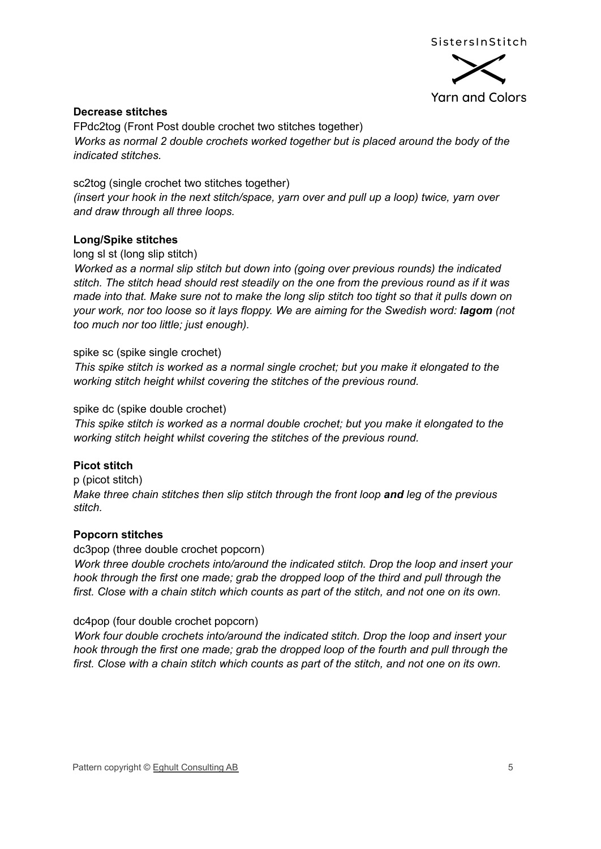



#### **Decrease stitches**

FPdc2tog (Front Post double crochet two stitches together) *Works as normal 2 double crochets worked together but is placed around the body of the indicated stitches.*

sc2tog (single crochet two stitches together) *(insert your hook in the next stitch/space, yarn over and pull up a loop) twice, yarn over and draw through all three loops.*

#### **Long/Spike stitches**

long sl st (long slip stitch)

*Worked as a normal slip stitch but down into (going over previous rounds) the indicated stitch. The stitch head should rest steadily on the one from the previous round as if it was* made into that. Make sure not to make the long slip stitch too tight so that it pulls down on *your work, nor too loose so it lays floppy. We are aiming for the Swedish word: lagom (not too much nor too little; just enough).*

#### spike sc (spike single crochet)

*This spike stitch is worked as a normal single crochet; but you make it elongated to the working stitch height whilst covering the stitches of the previous round.*

spike dc (spike double crochet)

*This spike stitch is worked as a normal double crochet; but you make it elongated to the working stitch height whilst covering the stitches of the previous round.*

#### **Picot stitch**

p (picot stitch) *Make three chain stitches then slip stitch through the front loop and leg of the previous stitch.*

#### **Popcorn stitches**

dc3pop (three double crochet popcorn) *Work three double crochets into/around the indicated stitch. Drop the loop and insert your hook through the first one made; grab the dropped loop of the third and pull through the* first. Close with a chain stitch which counts as part of the stitch, and not one on its own.

#### dc4pop (four double crochet popcorn)

*Work four double crochets into/around the indicated stitch. Drop the loop and insert your hook through the first one made; grab the dropped loop of the fourth and pull through the* first. Close with a chain stitch which counts as part of the stitch, and not one on its own.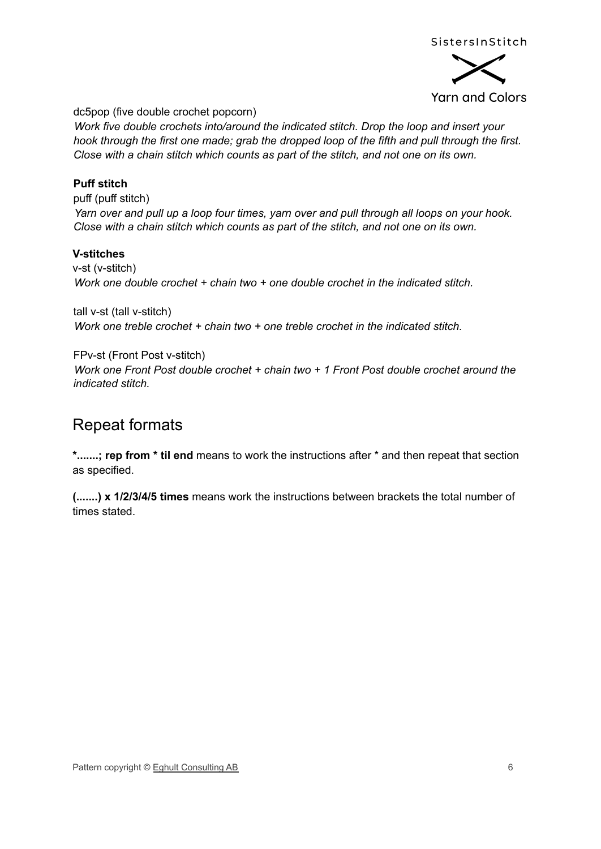

**Yarn and Colors** 

dc5pop (five double crochet popcorn)

*Work five double crochets into/around the indicated stitch. Drop the loop and insert your hook through the first one made; grab the dropped loop of the fifth and pull through the first. Close with a chain stitch which counts as part of the stitch, and not one on its own.*

#### **Puff stitch**

puff (puff stitch) *Yarn over and pull up a loop four times, yarn over and pull through all loops on your hook. Close with a chain stitch which counts as part of the stitch, and not one on its own.*

#### **V-stitches**

v-st (v-stitch) *Work one double crochet + chain two + one double crochet in the indicated stitch.*

tall v-st (tall v-stitch) *Work one treble crochet + chain two + one treble crochet in the indicated stitch.*

FPv-st (Front Post v-stitch) *Work one Front Post double crochet + chain two + 1 Front Post double crochet around the indicated stitch.*

## Repeat formats

**\*.......; rep from \* til end** means to work the instructions after \* and then repeat that section as specified.

**(.......) x 1/2/3/4/5 times** means work the instructions between brackets the total number of times stated.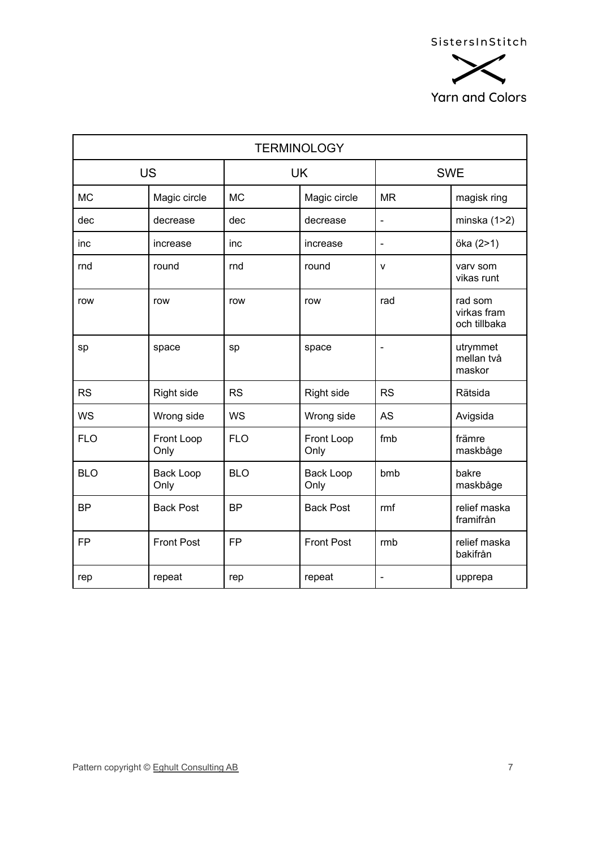

| <b>TERMINOLOGY</b> |                          |            |                          |                              |                                        |  |  |
|--------------------|--------------------------|------------|--------------------------|------------------------------|----------------------------------------|--|--|
| <b>US</b>          |                          | <b>UK</b>  |                          | <b>SWE</b>                   |                                        |  |  |
| <b>MC</b>          | Magic circle             | <b>MC</b>  | Magic circle             | <b>MR</b>                    | magisk ring                            |  |  |
| dec                | decrease                 | dec        | decrease                 | $\blacksquare$               | minska $(1>2)$                         |  |  |
| inc                | increase                 | inc        | increase                 | $\blacksquare$               | öka (2>1)                              |  |  |
| rnd                | round                    | rnd        | round                    | $\mathsf{v}$                 | vary som<br>vikas runt                 |  |  |
| row                | row                      | row        | row                      | rad                          | rad som<br>virkas fram<br>och tillbaka |  |  |
| sp                 | space                    | sp         | space                    | $\overline{\phantom{0}}$     | utrymmet<br>mellan två<br>maskor       |  |  |
| <b>RS</b>          | Right side               | <b>RS</b>  | Right side               | <b>RS</b>                    | Rätsida                                |  |  |
| <b>WS</b>          | Wrong side               | <b>WS</b>  | Wrong side               | <b>AS</b>                    | Avigsida                               |  |  |
| <b>FLO</b>         | Front Loop<br>Only       | <b>FLO</b> | Front Loop<br>Only       | fmb                          | främre<br>maskbåge                     |  |  |
| <b>BLO</b>         | <b>Back Loop</b><br>Only | <b>BLO</b> | <b>Back Loop</b><br>Only | bmb                          | bakre<br>maskbåge                      |  |  |
| <b>BP</b>          | <b>Back Post</b>         | <b>BP</b>  | <b>Back Post</b>         | rmf                          | relief maska<br>framifrån              |  |  |
| <b>FP</b>          | <b>Front Post</b>        | <b>FP</b>  | <b>Front Post</b>        | rmb                          | relief maska<br>bakifrån               |  |  |
| rep                | repeat                   | rep        | repeat                   | $\qquad \qquad \blacksquare$ | upprepa                                |  |  |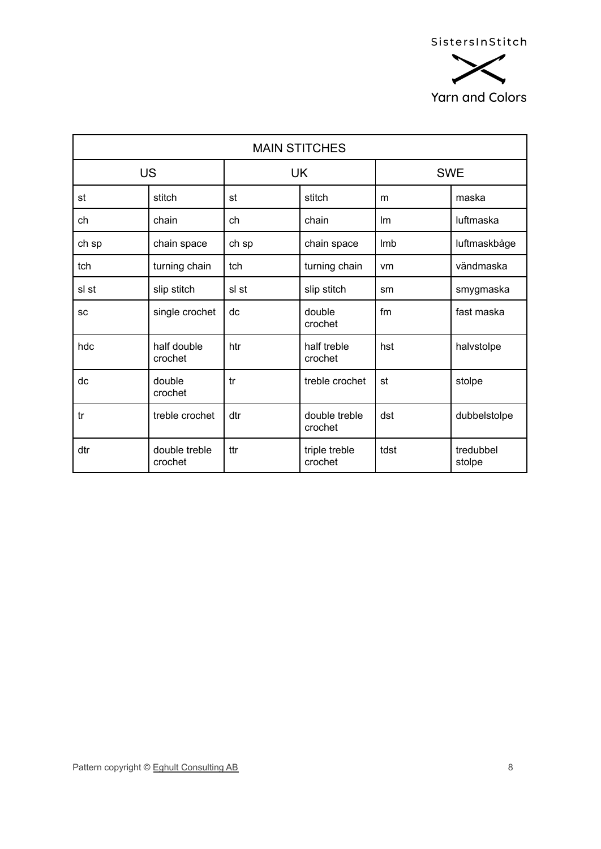

| <b>MAIN STITCHES</b> |                          |           |                          |            |                     |  |  |
|----------------------|--------------------------|-----------|--------------------------|------------|---------------------|--|--|
| <b>US</b>            |                          | <b>UK</b> |                          | <b>SWE</b> |                     |  |  |
| st                   | stitch                   | st        | stitch                   | m          | maska               |  |  |
| ch                   | chain                    | ch        | chain                    | <b>Im</b>  | luftmaska           |  |  |
| ch sp                | chain space              | ch sp     | chain space              | Imb        | luftmaskbåge        |  |  |
| tch                  | turning chain            | tch       | turning chain            | vm         | vändmaska           |  |  |
| sl st                | slip stitch              | sl st     | slip stitch              | sm         | smygmaska           |  |  |
| SC                   | single crochet           | dc        | double<br>crochet        | fm         | fast maska          |  |  |
| hdc                  | half double<br>crochet   | htr       | half treble<br>crochet   | hst        | halvstolpe          |  |  |
| dc                   | double<br>crochet        | tr        | treble crochet           | st         | stolpe              |  |  |
| tr                   | treble crochet           | dtr       | double treble<br>crochet | dst        | dubbelstolpe        |  |  |
| dtr                  | double treble<br>crochet | ttr       | triple treble<br>crochet | tdst       | tredubbel<br>stolpe |  |  |